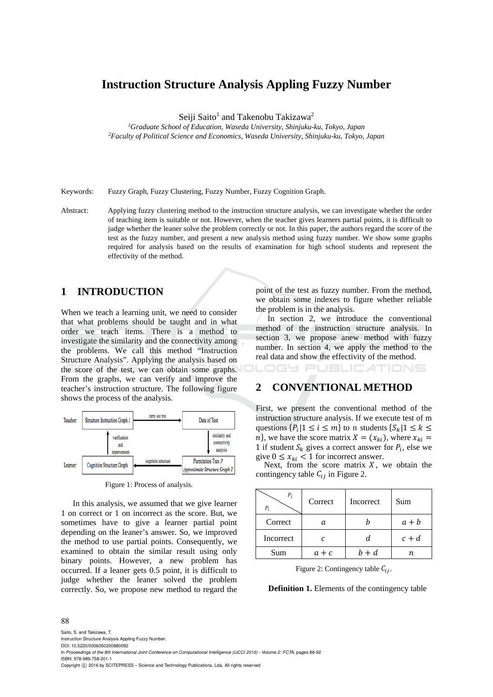# **Instruction Structure Analysis Appling Fuzzy Number**

Seiji Saito<sup>1</sup> and Takenobu Takizawa<sup>2</sup>

*1Graduate School of Education, Waseda University, Shinjuku-ku, Tokyo, Japan 2Faculty of Political Science and Economics, Waseda University, Shinjuku-ku, Tokyo, Japan* 

Keywords: Fuzzy Graph, Fuzzy Clustering, Fuzzy Number, Fuzzy Cognition Graph.

Abstract: Applying fuzzy clustering method to the instruction structure analysis, we can investigate whether the order of teaching item is suitable or not. However, when the teacher gives learners partial points, it is difficult to judge whether the leaner solve the problem correctly or not. In this paper, the authors regard the score of the test as the fuzzy number, and present a new analysis method using fuzzy number. We show some graphs required for analysis based on the results of examination for high school students and represent the effectivity of the method.

## **1 INTRODUCTION**

When we teach a learning unit, we need to consider that what problems should be taught and in what order we teach items. There is a method to investigate the similarity and the connectivity among the problems. We call this method "Instruction Structure Analysis". Applying the analysis based on the score of the test, we can obtain some graphs. From the graphs, we can verify and improve the teacher's instruction structure. The following figure shows the process of the analysis.



Figure 1: Process of analysis.

In this analysis, we assumed that we give learner 1 on correct or 1 on incorrect as the score. But, we sometimes have to give a learner partial point depending on the leaner's answer. So, we improved the method to use partial points. Consequently, we examined to obtain the similar result using only binary points. However, a new problem has occurred. If a leaner gets 0.5 point, it is difficult to judge whether the leaner solved the problem correctly. So, we propose new method to regard the point of the test as fuzzy number. From the method, we obtain some indexes to figure whether reliable the problem is in the analysis.

In section 2, we introduce the conventional method of the instruction structure analysis. In section 3, we propose anew method with fuzzy number. In section 4, we apply the method to the real data and show the effectivity of the method.

TIONS

# **2 CONVENTIONAL METHOD**

First, we present the conventional method of the instruction structure analysis. If we execute test of m questions  $\{P_i | 1 \le i \le m\}$  to n students  $\{S_k | 1 \le k \le m\}$  $n$ , we have the score matrix  $X = (x_{ki})$ , where  $x_{ki} =$ 1 if student  $S_k$  gives a correct answer for  $P_i$ , else we give  $0 \le x_{ki} < 1$  for incorrect answer.

Next, from the score matrix  $X$ , we obtain the contingency table  $C_{ij}$  in Figure 2.

| Р,<br>$P_i$ | Correct | Incorrect | Sum     |  |  |
|-------------|---------|-----------|---------|--|--|
| Correct     | а       |           | $a + b$ |  |  |
| Incorrect   | C       | d         | $c + d$ |  |  |
| Sum         | $a + c$ | $h + d$   | п       |  |  |

Figure 2: Contingency table  $C_{ij}$ .

**Definition 1.** Elements of the contingency table

#### 88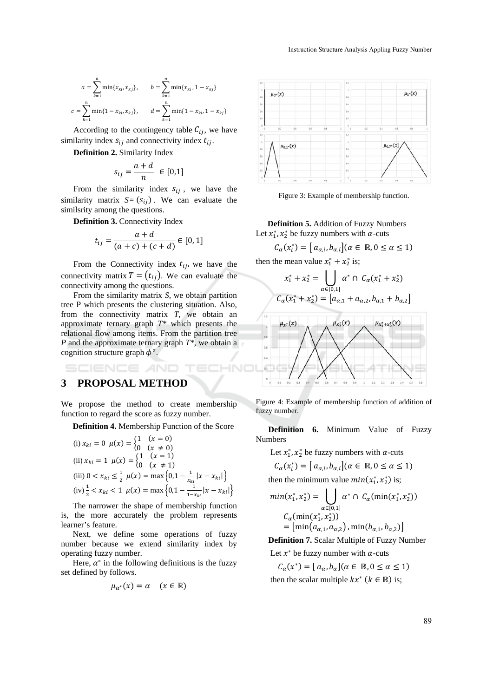$$
a = \sum_{k=1}^{n} \min\{x_{ki}, x_{kj}\}, \qquad b = \sum_{k=1}^{n} \min\{x_{ki}, 1 - x_{kj}\}
$$

$$
c = \sum_{k=1}^{n} \min\{1 - x_{ki}, x_{kj}\}, \qquad d = \sum_{k=1}^{n} \min\{1 - x_{ki}, 1 - x_{kj}\}
$$

According to the contingency table  $C_{ij}$ , we have similarity index  $s_{ij}$  and connectivity index  $t_{ij}$ .

**Definition 2.** Similarity Index

$$
s_{ij} = \frac{a+d}{n} \in [0,1]
$$

From the similarity index  $s_{ij}$ , we have the similarity matrix  $S = (s_{ij})$ . We can evaluate the similsrity among the questions.

**Definition 3.** Connectivity Index

$$
t_{ij} = \frac{a+d}{(a+c) + (c+d)} \in [0,1]
$$

From the Connectivity index  $t_{ij}$ , we have the connectivity matrix  $T = (t_{ij})$ . We can evaluate the connectivity among the questions.

From the similarity matrix *S*, we obtain partition tree P which presents the clustering situation. Also, from the connectivity matrix *T*, we obtain an approximate ternary graph *T\** which presents the relational flow among items. From the partition tree *P* and the approximate ternary graph *T\**, we obtain a cognition structure graph  $\phi^z$ .

# **CIENCE** *A***ND 3 PROPOSAL METHOD**

We propose the method to create membership function to regard the score as fuzzy number.

**Definition 4.** Membership Function of the Score

(i) 
$$
x_{ki} = 0
$$
  $\mu(x) = \begin{cases} 1 & (x = 0) \\ 0 & (x \neq 0) \end{cases}$   
\n(ii)  $x_{ki} = 1$   $\mu(x) = \begin{cases} 1 & (x = 1) \\ 0 & (x \neq 1) \end{cases}$   
\n(iii)  $0 < x_{ki} \le \frac{1}{2}$   $\mu(x) = \max\left\{0, 1 - \frac{1}{x_{ki}} |x - x_{ki}|\right\}$   
\n(iv)  $\frac{1}{2} < x_{ki} < 1$   $\mu(x) = \max\left\{0, 1 - \frac{1}{1 - x_{ki}} |x - x_{ki}|\right\}$ 

The narrower the shape of membership function is, the more accurately the problem represents learner's feature.

Next, we define some operations of fuzzy number because we extend similarity index by operating fuzzy number.

Here,  $\alpha^*$  in the following definitions is the fuzzy set defined by follows.

$$
\mu_{\alpha^*}(x) = \alpha \quad (x \in \mathbb{R})
$$



Figure 3: Example of membership function.

**Definition 5.** Addition of Fuzzy Numbers Let  $x_1^*, x_2^*$  be fuzzy numbers with  $\alpha$ -cuts

 $C_{\alpha}(x_i^*) = [a_{\alpha,i}, b_{\alpha,i}] (\alpha \in \mathbb{R}, 0 \le \alpha \le 1)$ 

then the mean value  $x_1^* + x_2^*$  is;

$$
x_1^* + x_2^* = \bigcup_{\alpha \in [0,1]} \alpha^* \cap C_{\alpha}(x_1^* + x_2^*)
$$
  

$$
C_{\alpha}(x_1^* + x_2^*) = [a_{\alpha,1} + a_{\alpha,2}, b_{\alpha,1} + b_{\alpha,2}]
$$



Figure 4: Example of membership function of addition of fuzzy number.

**Definition 6.** Minimum Value of Fuzzy Numbers

Let  $x_1^*, x_2^*$  be fuzzy numbers with  $\alpha$ -cuts

$$
C_{\alpha}(x_i^*) = [a_{\alpha,i}, b_{\alpha,i}](\alpha \in \mathbb{R}, 0 \le \alpha \le 1)
$$

then the minimum value  $min(x_1^*, x_2^*)$  is;

$$
min(x_1^*, x_2^*) = \bigcup_{\alpha \in [0,1]} \alpha^* \cap C_{\alpha}(\min(x_1^*, x_2^*))
$$
  

$$
C_{\alpha}(\min(x_1^*, x_2^*))
$$
  

$$
= [\min(a_{\alpha,1}, a_{\alpha,2}), \min(b_{\alpha,1}, b_{\alpha,2})]
$$

**Definition 7.** Scalar Multiple of Fuzzy Number Let  $x^*$  be fuzzy number with  $\alpha$ -cuts

 $C_{\alpha}(x^*) = [a_{\alpha}, b_{\alpha}](\alpha \in \mathbb{R}, 0 \le \alpha \le 1)$ then the scalar multiple  $kx^*(k \in \mathbb{R})$  is;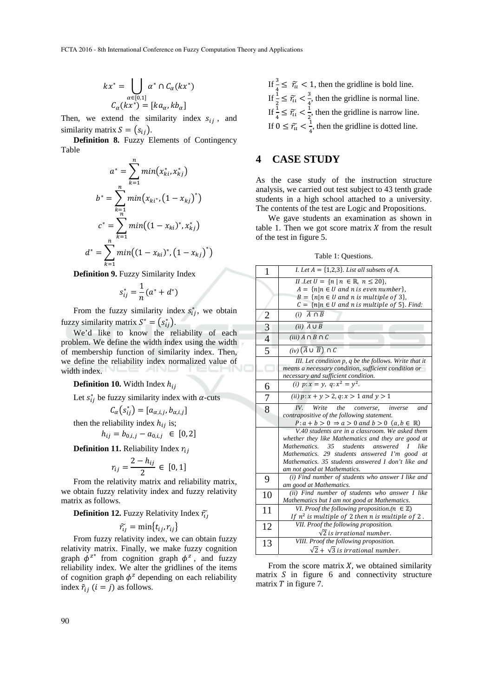$$
kx^* = \bigcup_{\alpha \in [0,1]} \alpha^* \cap C_{\alpha}(kx^*)
$$

$$
C_{\alpha}(kx^*) = [ka_{\alpha}, kb_{\alpha}]
$$

Then, we extend the similarity index  $s_{ij}$ , and similarity matrix  $S = (s_{ij}).$ 

**Definition 8.** Fuzzy Elements of Contingency Table

$$
a^* = \sum_{k=1}^n \min(x_{ki}^*, x_{kj}^*)
$$
  

$$
b^* = \sum_{k=1}^n \min(x_{ki^*}, (1 - x_{kj})^*)
$$
  

$$
c^* = \sum_{k=1}^n \min((1 - x_{ki})^*, x_{kj}^*)
$$
  

$$
d^* = \sum_{k=1}^n \min((1 - x_{ki})^*, (1 - x_{kj})^*)
$$

**Definition 9.** Fuzzy Similarity Index

$$
s_{ij}^* = \frac{1}{n}(a^* + d^*)
$$

From the fuzzy similarity index  $s_{ij}^*$ , we obtain fuzzy similarity matrix  $S^* = (s_{ij}^*)$ .

We'd like to know the reliability of each problem. We define the width index using the width of membership function of similarity index. Then, we define the reliability index normalized value of width index.

#### **Definition 10.** Width Index  $h_{ij}$

Let  $s_{ij}^*$  be fuzzy similarity index with  $\alpha$ -cuts

$$
C_{\alpha}(s_{ij}^*) = [a_{\alpha,i,j}, b_{\alpha,i,j}]
$$

then the reliability index  $h_{ij}$  is;

$$
h_{ij} = b_{0,i,j} - a_{0,i,j} \in [0,2]
$$

**Definition 11.** Reliability Index  $r_{ii}$ 

$$
r_{ij} = \frac{2 - h_{ij}}{2} \in [0, 1]
$$

From the relativity matrix and reliability matrix, we obtain fuzzy relativity index and fuzzy relativity matrix as follows.

**Definition 12.** Fuzzy Relativity Index  $\tilde{r}_{i}$ 

$$
\widetilde{r_{ij}} = \min\{t_{ij}, r_{ij}\}
$$

From fuzzy relativity index, we can obtain fuzzy relativity matrix. Finally, we make fuzzy cognition graph  $\phi^{z*}$  from cognition graph  $\phi^z$ , and fuzzy reliability index. We alter the gridlines of the items of cognition graph  $\phi^z$  depending on each reliability index  $\tilde{r}_{ij}$  ( $i = j$ ) as follows.

If  $\frac{3}{4} \leq \tilde{r}_u < 1$ , then the gridline is bold line. If  $\frac{1}{2} \leq \widetilde{r}_{\mathfrak{u}} < \frac{3}{4}$  $\frac{3}{4}$ , then the gridline is normal line. If  $\frac{1}{4} \leq \widetilde{r}_{u} < \frac{1}{2}$  $\frac{1}{2}$ , then the gridline is narrow line. If  $0 \leq \widetilde{r_u} < \frac{1}{4}$  $\frac{1}{4}$ , then the gridline is dotted line.

## **4 CASE STUDY**

As the case study of the instruction structure analysis, we carried out test subject to 43 tenth grade students in a high school attached to a university. The contents of the test are Logic and Propositions.

We gave students an examination as shown in table 1. Then we got score matrix  $X$  from the result of the test in figure 5.

Table 1: Questions.

| $\mathbf{1}$   | I. Let $A = \{1,2,3\}$ . List all subsets of A.                                                                  |
|----------------|------------------------------------------------------------------------------------------------------------------|
|                | <i>II</i> . <i>Let</i> $U = \{n \mid n \in \mathbb{R}, n \leq 20\}$ ,                                            |
|                | $A = \{n   n \in U \text{ and } n \text{ is even number}\},\$                                                    |
|                | $B = \{n   n \in U \text{ and } n \text{ is multiple of } 3\},\$                                                 |
|                | $C = \{n   n \in U \text{ and } n \text{ is multiple of } 5\}.$ Find:                                            |
|                | $(i)$ $\overline{A \cap B}$                                                                                      |
| $\frac{2}{3}$  | $(ii)$ $\overline{A \cup B}$                                                                                     |
|                | $(iii)$ $A \cap B \cap C$                                                                                        |
| 5              | $(iv)$ $(\overline{A} \cup \overline{B}) \cap C$                                                                 |
|                | III. Let condition p, q be the follows. Write that it                                                            |
|                | means a necessary condition, sufficient condition or                                                             |
|                | necessary and sufficient condition.                                                                              |
| 6              | ( <i>i</i> ) $p: x = y$ , $q: x^2 = y^2$ .                                                                       |
| $\overline{7}$ | ( <i>ii</i> ) $p: x + y > 2, q: x > 1$ and $y > 1$                                                               |
| $\overline{8}$ | IV.<br>Write the<br>inverse<br>converse.<br>and                                                                  |
|                | contrapositive of the following statement.                                                                       |
|                | $P: a + b > 0 \Rightarrow a > 0$ and $b > 0$ $(a, b \in \mathbb{R})$                                             |
|                | V.40 students are in a classroom. We asked them                                                                  |
|                | whether they like Mathematics and they are good at                                                               |
|                | Mathematics. 35 students answered I<br>like                                                                      |
|                | Mathematics. 29 students answered I'm good at                                                                    |
|                | Mathematics. 35 students answered I don't like and                                                               |
|                | am not good at Mathematics.                                                                                      |
| 9              | (i) Find number of students who answer I like and                                                                |
|                | am good at Mathematics.                                                                                          |
| 10             | (ii) Find number of students who answer I like                                                                   |
|                | Mathematics but I am not good at Mathematics.                                                                    |
| 11             | VI. Proof the following proposition.( $n \in \mathbb{Z}$ )<br>If $n^2$ is multiple of 2 then n is multiple of 2. |
| 12             | VII. Proof the following proposition.                                                                            |
|                | $\sqrt{2}$ is irrational number.                                                                                 |
| 13             | VIII. Proof the following proposition.                                                                           |
|                | $\sqrt{2} + \sqrt{3}$ is irrational number.                                                                      |
|                |                                                                                                                  |

From the score matrix  $X$ , we obtained similarity matrix  $S$  in figure 6 and connectivity structure matrix  $T$  in figure 7.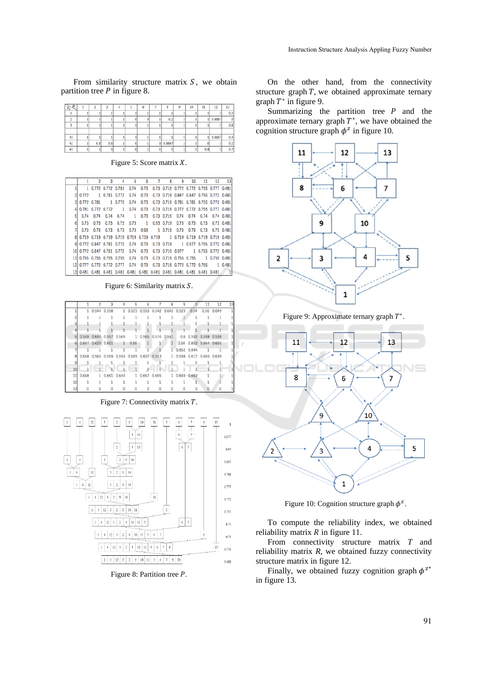From similarity structure matrix  $S$ , we obtain partition tree  $P$  in figure 8.

| 5 <sub>b</sub> |     |     |  | 6 | ×            | 10 | 11  | 12       | 13       |
|----------------|-----|-----|--|---|--------------|----|-----|----------|----------|
|                |     |     |  |   |              |    |     |          |          |
|                |     |     |  |   | 0.2          |    |     | 1 0.8667 | $\theta$ |
|                |     |     |  |   |              |    |     |          | 0.8      |
| 41             |     |     |  |   |              |    |     | 1 0.8667 | . .      |
| 42             | 0.8 | 0.8 |  |   | $0 \ 0.6667$ |    |     |          |          |
| 43             |     | ٥l  |  |   |              |    | 0.8 |          | 0.7      |

Figure 5: Score matrix  $X$ .

| g<br>10<br>5<br>6<br>8<br>11<br>12<br>1<br>0.73 0.719 0.772 0.772 0.755 0.777 0.481<br>0.73<br>1 0.772 0.772 0.781<br>0.74<br>0.73<br>1 0.781 0.772<br>0.74<br>0.73 0.719 0.847 0.847 0.755 0.772 0.481<br>0.772<br>$\overline{3}$<br>0.772 0.781<br>0.74<br>0.73<br>0.73 0.719 0.781 0.781 0.755 0.772 0.481<br>1 0.772 | 13             |
|--------------------------------------------------------------------------------------------------------------------------------------------------------------------------------------------------------------------------------------------------------------------------------------------------------------------------|----------------|
|                                                                                                                                                                                                                                                                                                                          |                |
|                                                                                                                                                                                                                                                                                                                          |                |
|                                                                                                                                                                                                                                                                                                                          |                |
|                                                                                                                                                                                                                                                                                                                          |                |
| 0.74<br>0.73<br>0.73 0.719 0.772 0.772 0.755 0.777 0.481<br>0.772 0.772<br>0.781<br>$\overline{1}$                                                                                                                                                                                                                       |                |
| 51<br>0.73<br>0.74<br>0.74<br>0.73 0.719<br>0.74<br>0.74<br>0.74<br>0.74<br>$\mathbf{1}$<br>0.74                                                                                                                                                                                                                         | $0.74$ $0.481$ |
| 6<br>0.73<br>0.73<br>0.73<br>0.73<br>0.93 0.719<br>0.73<br>0.73<br>0.73<br>0.73<br>$\overline{1}$                                                                                                                                                                                                                        | $0.73$ $0.481$ |
| 0.73<br>0.93<br>1 0.719<br>0.73<br>0.73<br>0.73<br>0.73<br>0.73<br>0.73<br>0.73                                                                                                                                                                                                                                          | $0.73$ $0.481$ |
| 8<br>0.719 0.719 0.719 0.719 0.719 0.719 0.719 1 0.719 0.719 0.719 0.719 0.481                                                                                                                                                                                                                                           |                |
| 9l<br>0.772 0.847 0.781 0.772<br>0.74<br>0.73<br>0.73 0.719<br>1 0.977 0.755 0.772 0.481                                                                                                                                                                                                                                 |                |
| 0.73  0.73  0.719  0.977<br>1 0.755 0.772 0.481<br>0.74<br>10 0.772 0.847 0.781 0.772                                                                                                                                                                                                                                    |                |
| 11<br>0.73<br>0.755 0.755 0.755 0.755<br>0.74<br>0.73 0.719 0.755 0.755 1 0.755 0.481                                                                                                                                                                                                                                    |                |
| 12 0.777 0.772 0.772 0.777<br>0.73 0.719 0.772 0.772 0.755<br>0.73<br>0.74                                                                                                                                                                                                                                               | 1 0.481        |
| 0.481<br>$0.481$ $0.481$<br>13 <sup>1</sup><br>0.481<br>0.481 0.481 0.481 0.481<br>0.481<br>0.481<br>0.481 0.481                                                                                                                                                                                                         | $\blacksquare$ |

Figure 6: Similarity matrix  $S$ .

|    |     | $\mathbf{z}$                                                         | $\overline{\mathbf{3}}$ | $\sim$ | 5                           | - 5 |                     | 78          | 9            |                   |                | $0 \t 11 \t 12$                                                     | 13 |
|----|-----|----------------------------------------------------------------------|-------------------------|--------|-----------------------------|-----|---------------------|-------------|--------------|-------------------|----------------|---------------------------------------------------------------------|----|
|    |     |                                                                      |                         |        |                             |     |                     |             |              |                   |                | 1 0.544 0.558 1 0.523 0.553 0.542 0.642 0.529 0.54 0.56 0.649       |    |
|    |     | $1 \quad 1$                                                          |                         |        | 1 1 1 1 1 1 1               |     |                     |             |              |                   |                | $1 \quad 1 \quad 1$                                                 |    |
|    |     |                                                                      |                         |        |                             |     |                     | $1 \quad 1$ |              |                   | $\overline{1}$ |                                                                     |    |
|    |     |                                                                      |                         |        |                             |     |                     |             | $\mathbf{1}$ |                   |                |                                                                     |    |
|    |     |                                                                      |                         |        |                             |     |                     |             |              |                   |                | 5 0.548 0.644 0.557 0.565 1 0.565 0.574 0.661 0.6 0.592 0.598 0.538 |    |
|    |     | 0.667 0.629 0.651 1 0.65 1 1 1 0.66 0.652 0.664 0.665                |                         |        |                             |     |                     |             |              |                   |                |                                                                     |    |
|    |     | $1 - 1 - 1$                                                          |                         |        | $1 \quad 1 \quad 1 \quad 1$ |     |                     |             |              | 1 0.652 0.644 1 1 |                |                                                                     |    |
|    |     | 0.658 0.564 0.559 0.594 0.549 0.607 0.553 1 0.598 0.617 0.669 0.639  |                         |        |                             |     |                     |             |              |                   |                |                                                                     |    |
|    |     |                                                                      |                         |        |                             |     |                     |             |              |                   |                |                                                                     |    |
|    |     |                                                                      | $1 - 1$                 |        |                             |     |                     |             | 111          |                   |                |                                                                     |    |
|    |     | 11 0.668    1 0.661    0.644    1 0.657    0.665    1 0.669    0.662 |                         |        |                             |     |                     |             |              |                   |                |                                                                     |    |
| 12 |     | $1 \t1 \t1 \t1$                                                      |                         |        |                             |     | $1 \quad 1 \quad 1$ |             | $\sim$       |                   |                |                                                                     |    |
| 13 | - 0 | 0                                                                    | $\circ$                 |        |                             |     |                     |             |              |                   |                |                                                                     |    |

Figure 7: Connectivity matrix  $T$ .



Figure 8: Partition tree P.

On the other hand, from the connectivity structure graph  $T$ , we obtained approximate ternary graph  $T^*$  in figure 9.

Summarizing the partition tree  $P$  and the approximate ternary graph  $T^*$ , we have obtained the cognition structure graph  $\phi^z$  in figure 10.



Figure 9: Approximate ternary graph  $T^*$ .



Figure 10: Cognition structure graph  $\phi^z$ .

To compute the reliability index, we obtained reliability matrix  $R$  in figure 11.

From connectivity structure matrix *T* and reliability matrix  $R$ , we obtained fuzzy connectivity structure matrix in figure 12.

Finally, we obtained fuzzy cognition graph  $\phi^{z*}$ in figure 13.